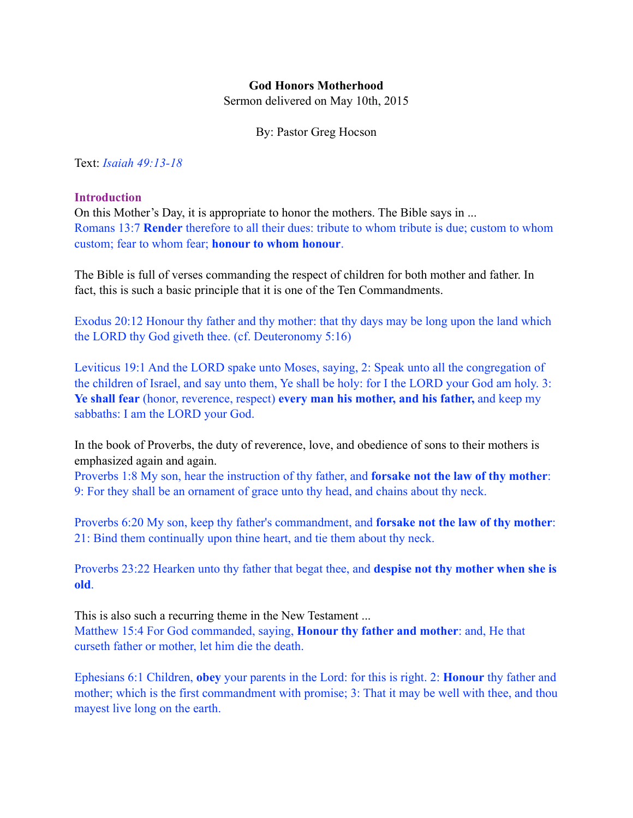### **God Honors Motherhood**

Sermon delivered on May 10th, 2015

By: Pastor Greg Hocson

Text: *Isaiah 49:13-18*

#### **Introduction**

On this Mother's Day, it is appropriate to honor the mothers. The Bible says in ... Romans 13:7 **Render** therefore to all their dues: tribute to whom tribute is due; custom to whom custom; fear to whom fear; **honour to whom honour**.

The Bible is full of verses commanding the respect of children for both mother and father. In fact, this is such a basic principle that it is one of the Ten Commandments.

Exodus 20:12 Honour thy father and thy mother: that thy days may be long upon the land which the LORD thy God giveth thee. (cf. Deuteronomy 5:16)

Leviticus 19:1 And the LORD spake unto Moses, saying, 2: Speak unto all the congregation of the children of Israel, and say unto them, Ye shall be holy: for I the LORD your God am holy. 3: **Ye shall fear** (honor, reverence, respect) **every man his mother, and his father,** and keep my sabbaths: I am the LORD your God.

In the book of Proverbs, the duty of reverence, love, and obedience of sons to their mothers is emphasized again and again.

Proverbs 1:8 My son, hear the instruction of thy father, and **forsake not the law of thy mother**: 9: For they shall be an ornament of grace unto thy head, and chains about thy neck.

Proverbs 6:20 My son, keep thy father's commandment, and **forsake not the law of thy mother**: 21: Bind them continually upon thine heart, and tie them about thy neck.

Proverbs 23:22 Hearken unto thy father that begat thee, and **despise not thy mother when she is old**.

This is also such a recurring theme in the New Testament ... Matthew 15:4 For God commanded, saying, **Honour thy father and mother**: and, He that curseth father or mother, let him die the death.

Ephesians 6:1 Children, **obey** your parents in the Lord: for this is right. 2: **Honour** thy father and mother; which is the first commandment with promise; 3: That it may be well with thee, and thou mayest live long on the earth.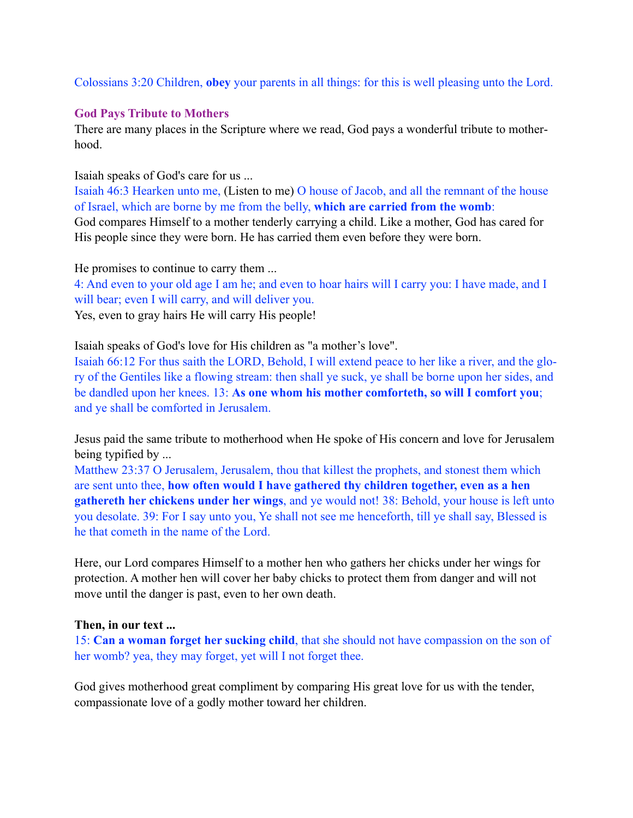Colossians 3:20 Children, **obey** your parents in all things: for this is well pleasing unto the Lord.

### **God Pays Tribute to Mothers**

There are many places in the Scripture where we read, God pays a wonderful tribute to motherhood.

Isaiah speaks of God's care for us ...

Isaiah 46:3 Hearken unto me, (Listen to me) O house of Jacob, and all the remnant of the house of Israel, which are borne by me from the belly, **which are carried from the womb**: God compares Himself to a mother tenderly carrying a child. Like a mother, God has cared for His people since they were born. He has carried them even before they were born.

He promises to continue to carry them ...

4: And even to your old age I am he; and even to hoar hairs will I carry you: I have made, and I will bear; even I will carry, and will deliver you.

Yes, even to gray hairs He will carry His people!

Isaiah speaks of God's love for His children as "a mother's love".

Isaiah 66:12 For thus saith the LORD, Behold, I will extend peace to her like a river, and the glory of the Gentiles like a flowing stream: then shall ye suck, ye shall be borne upon her sides, and be dandled upon her knees. 13: **As one whom his mother comforteth, so will I comfort you**; and ye shall be comforted in Jerusalem.

Jesus paid the same tribute to motherhood when He spoke of His concern and love for Jerusalem being typified by ...

Matthew 23:37 O Jerusalem, Jerusalem, thou that killest the prophets, and stonest them which are sent unto thee, **how often would I have gathered thy children together, even as a hen gathereth her chickens under her wings**, and ye would not! 38: Behold, your house is left unto you desolate. 39: For I say unto you, Ye shall not see me henceforth, till ye shall say, Blessed is he that cometh in the name of the Lord.

Here, our Lord compares Himself to a mother hen who gathers her chicks under her wings for protection. A mother hen will cover her baby chicks to protect them from danger and will not move until the danger is past, even to her own death.

#### **Then, in our text ...**

15: **Can a woman forget her sucking child**, that she should not have compassion on the son of her womb? yea, they may forget, yet will I not forget thee.

God gives motherhood great compliment by comparing His great love for us with the tender, compassionate love of a godly mother toward her children.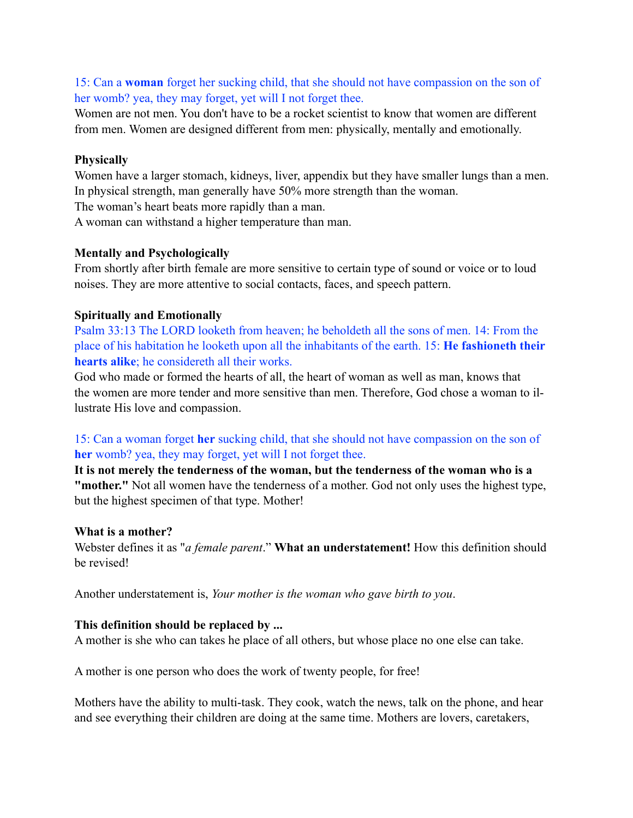# 15: Can a **woman** forget her sucking child, that she should not have compassion on the son of her womb? yea, they may forget, yet will I not forget thee.

Women are not men. You don't have to be a rocket scientist to know that women are different from men. Women are designed different from men: physically, mentally and emotionally.

### **Physically**

Women have a larger stomach, kidneys, liver, appendix but they have smaller lungs than a men. In physical strength, man generally have 50% more strength than the woman.

The woman's heart beats more rapidly than a man.

A woman can withstand a higher temperature than man.

### **Mentally and Psychologically**

From shortly after birth female are more sensitive to certain type of sound or voice or to loud noises. They are more attentive to social contacts, faces, and speech pattern.

# **Spiritually and Emotionally**

Psalm 33:13 The LORD looketh from heaven; he beholdeth all the sons of men. 14: From the place of his habitation he looketh upon all the inhabitants of the earth. 15: **He fashioneth their hearts alike**; he considereth all their works.

God who made or formed the hearts of all, the heart of woman as well as man, knows that the women are more tender and more sensitive than men. Therefore, God chose a woman to illustrate His love and compassion.

# 15: Can a woman forget **her** sucking child, that she should not have compassion on the son of **her** womb? yea, they may forget, yet will I not forget thee.

**It is not merely the tenderness of the woman, but the tenderness of the woman who is a "mother."** Not all women have the tenderness of a mother. God not only uses the highest type, but the highest specimen of that type. Mother!

#### **What is a mother?**

Webster defines it as "*a female parent*." **What an understatement!** How this definition should be revised!

Another understatement is, *Your mother is the woman who gave birth to you*.

# **This definition should be replaced by ...**

A mother is she who can takes he place of all others, but whose place no one else can take.

A mother is one person who does the work of twenty people, for free!

Mothers have the ability to multi-task. They cook, watch the news, talk on the phone, and hear and see everything their children are doing at the same time. Mothers are lovers, caretakers,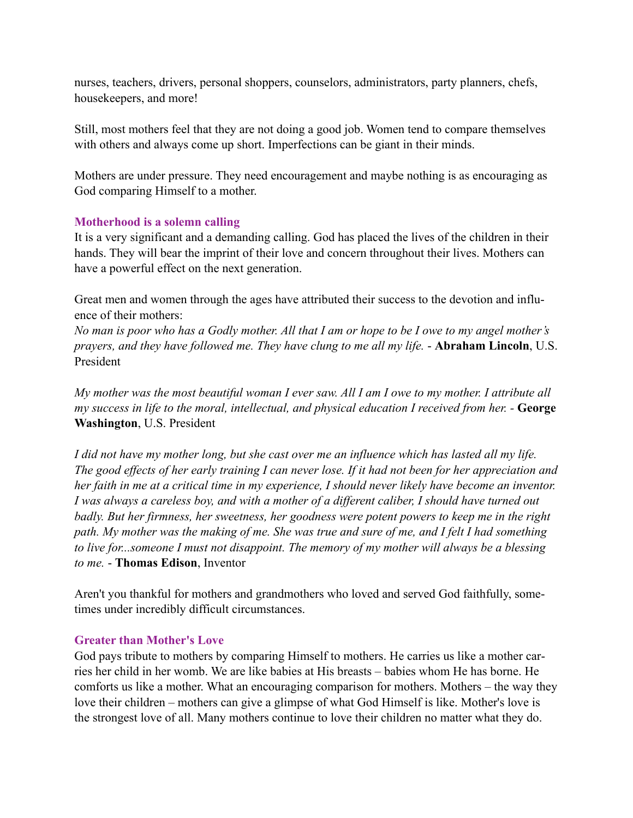nurses, teachers, drivers, personal shoppers, counselors, administrators, party planners, chefs, housekeepers, and more!

Still, most mothers feel that they are not doing a good job. Women tend to compare themselves with others and always come up short. Imperfections can be giant in their minds.

Mothers are under pressure. They need encouragement and maybe nothing is as encouraging as God comparing Himself to a mother.

# **Motherhood is a solemn calling**

It is a very significant and a demanding calling. God has placed the lives of the children in their hands. They will bear the imprint of their love and concern throughout their lives. Mothers can have a powerful effect on the next generation.

Great men and women through the ages have attributed their success to the devotion and influence of their mothers:

*No man is poor who has a Godly mother. All that I am or hope to be I owe to my angel mother's prayers, and they have followed me. They have clung to me all my life.* - **Abraham Lincoln**, U.S. President

*My mother was the most beautiful woman I ever saw. All I am I owe to my mother. I attribute all my success in life to the moral, intellectual, and physical education I received from her.* - **George Washington**, U.S. President

*I did not have my mother long, but she cast over me an influence which has lasted all my life. The good effects of her early training I can never lose. If it had not been for her appreciation and her faith in me at a critical time in my experience, I should never likely have become an inventor. I was always a careless boy, and with a mother of a different caliber, I should have turned out badly. But her firmness, her sweetness, her goodness were potent powers to keep me in the right path. My mother was the making of me. She was true and sure of me, and I felt I had something to live for...someone I must not disappoint. The memory of my mother will always be a blessing to me.* - **Thomas Edison**, Inventor

Aren't you thankful for mothers and grandmothers who loved and served God faithfully, sometimes under incredibly difficult circumstances.

# **Greater than Mother's Love**

God pays tribute to mothers by comparing Himself to mothers. He carries us like a mother carries her child in her womb. We are like babies at His breasts – babies whom He has borne. He comforts us like a mother. What an encouraging comparison for mothers. Mothers – the way they love their children – mothers can give a glimpse of what God Himself is like. Mother's love is the strongest love of all. Many mothers continue to love their children no matter what they do.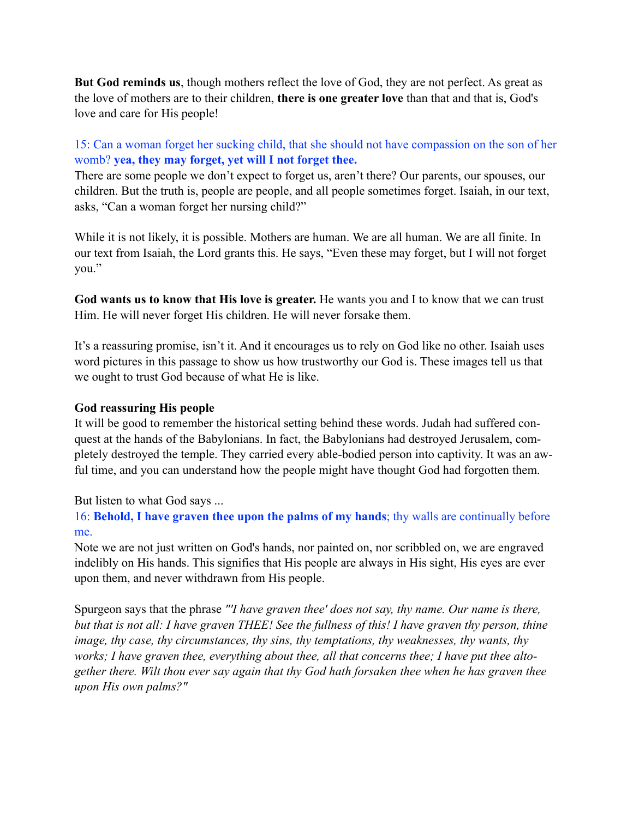**But God reminds us**, though mothers reflect the love of God, they are not perfect. As great as the love of mothers are to their children, **there is one greater love** than that and that is, God's love and care for His people!

# 15: Can a woman forget her sucking child, that she should not have compassion on the son of her womb? **yea, they may forget, yet will I not forget thee.**

There are some people we don't expect to forget us, aren't there? Our parents, our spouses, our children. But the truth is, people are people, and all people sometimes forget. Isaiah, in our text, asks, "Can a woman forget her nursing child?"

While it is not likely, it is possible. Mothers are human. We are all human. We are all finite. In our text from Isaiah, the Lord grants this. He says, "Even these may forget, but I will not forget you."

**God wants us to know that His love is greater.** He wants you and I to know that we can trust Him. He will never forget His children. He will never forsake them.

It's a reassuring promise, isn't it. And it encourages us to rely on God like no other. Isaiah uses word pictures in this passage to show us how trustworthy our God is. These images tell us that we ought to trust God because of what He is like.

# **God reassuring His people**

It will be good to remember the historical setting behind these words. Judah had suffered conquest at the hands of the Babylonians. In fact, the Babylonians had destroyed Jerusalem, completely destroyed the temple. They carried every able-bodied person into captivity. It was an awful time, and you can understand how the people might have thought God had forgotten them.

But listen to what God says ...

16: **Behold, I have graven thee upon the palms of my hands**; thy walls are continually before me.

Note we are not just written on God's hands, nor painted on, nor scribbled on, we are engraved indelibly on His hands. This signifies that His people are always in His sight, His eyes are ever upon them, and never withdrawn from His people.

Spurgeon says that the phrase *"'I have graven thee' does not say, thy name. Our name is there, but that is not all: I have graven THEE! See the fullness of this! I have graven thy person, thine image, thy case, thy circumstances, thy sins, thy temptations, thy weaknesses, thy wants, thy works; I have graven thee, everything about thee, all that concerns thee; I have put thee altogether there. Wilt thou ever say again that thy God hath forsaken thee when he has graven thee upon His own palms?"*